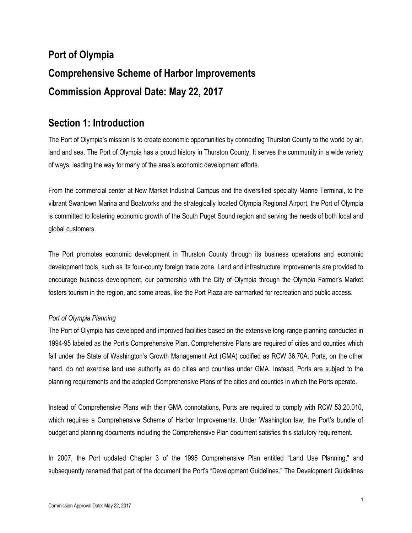# **Port of Olympia Comprehensive Scheme of Harbor Improvements Commission Approval Date: May 22, 2017**

# **Section 1: Introduction**

The Port of Olympia's mission is to create economic opportunities by connecting Thurston County to the world by air, land and sea. The Port of Olympia has a proud history in Thurston County. It serves the community in a wide variety of ways, leading the way for many of the area's economic development efforts.

From the commercial center at New Market Industrial Campus and the diversified specialty Marine Terminal, to the vibrant Swantown Marina and Boatworks and the strategically located Olympia Regional Airport, the Port of Olympia is committed to fostering economic growth of the South Puget Sound region and serving the needs of both local and global customers.

The Port promotes economic development in Thurston County through its business operations and economic development tools, such as its four-county foreign trade zone. Land and infrastructure improvements are provided to encourage business development, our partnership with the City of Olympia through the Olympia Farmer's Market fosters tourism in the region, and some areas, like the Port Plaza are earmarked for recreation and public access.

### *Port of Olympia Planning*

The Port of Olympia has developed and improved facilities based on the extensive long-range planning conducted in 1994-95 labeled as the Port's Comprehensive Plan. Comprehensive Plans are required of cities and counties which fall under the State of Washington's Growth Management Act (GMA) codified as RCW 36.70A. Ports, on the other hand, do not exercise land use authority as do cities and counties under GMA. Instead, Ports are subject to the planning requirements and the adopted Comprehensive Plans of the cities and counties in which the Ports operate.

Instead of Comprehensive Plans with their GMA connotations, Ports are required to comply with RCW 53.20.010, which requires a Comprehensive Scheme of Harbor Improvements. Under Washington law, the Port's bundle of budget and planning documents including the Comprehensive Plan document satisfies this statutory requirement.

In 2007, the Port updated Chapter 3 of the 1995 Comprehensive Plan entitled "Land Use Planning," and subsequently renamed that part of the document the Port's "Development Guidelines." The Development Guidelines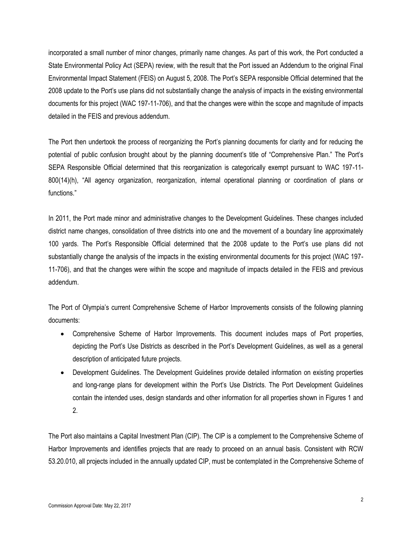incorporated a small number of minor changes, primarily name changes. As part of this work, the Port conducted a State Environmental Policy Act (SEPA) review, with the result that the Port issued an Addendum to the original Final Environmental Impact Statement (FEIS) on August 5, 2008. The Port's SEPA responsible Official determined that the 2008 update to the Port's use plans did not substantially change the analysis of impacts in the existing environmental documents for this project (WAC 197-11-706), and that the changes were within the scope and magnitude of impacts detailed in the FEIS and previous addendum.

The Port then undertook the process of reorganizing the Port's planning documents for clarity and for reducing the potential of public confusion brought about by the planning document's title of "Comprehensive Plan." The Port's SEPA Responsible Official determined that this reorganization is categorically exempt pursuant to WAC 197-11- 800(14)(h), "All agency organization, reorganization, internal operational planning or coordination of plans or functions."

In 2011, the Port made minor and administrative changes to the Development Guidelines. These changes included district name changes, consolidation of three districts into one and the movement of a boundary line approximately 100 yards. The Port's Responsible Official determined that the 2008 update to the Port's use plans did not substantially change the analysis of the impacts in the existing environmental documents for this project (WAC 197- 11-706), and that the changes were within the scope and magnitude of impacts detailed in the FEIS and previous addendum.

The Port of Olympia's current Comprehensive Scheme of Harbor Improvements consists of the following planning documents:

- Comprehensive Scheme of Harbor Improvements. This document includes maps of Port properties, depicting the Port's Use Districts as described in the Port's Development Guidelines, as well as a general description of anticipated future projects.
- Development Guidelines. The Development Guidelines provide detailed information on existing properties and long-range plans for development within the Port's Use Districts. The Port Development Guidelines contain the intended uses, design standards and other information for all properties shown in Figures 1 and 2.

The Port also maintains a Capital Investment Plan (CIP). The CIP is a complement to the Comprehensive Scheme of Harbor Improvements and identifies projects that are ready to proceed on an annual basis. Consistent with RCW 53.20.010, all projects included in the annually updated CIP, must be contemplated in the Comprehensive Scheme of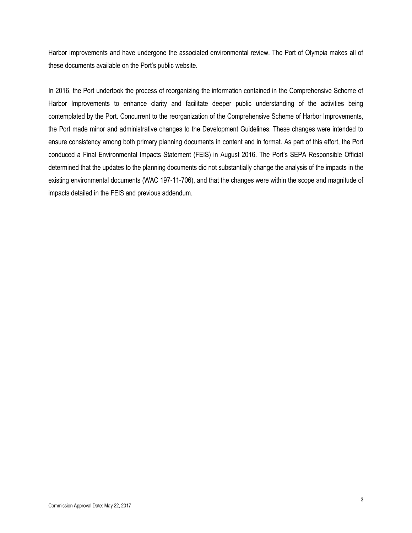Harbor Improvements and have undergone the associated environmental review. The Port of Olympia makes all of these documents available on the Port's public website.

In 2016, the Port undertook the process of reorganizing the information contained in the Comprehensive Scheme of Harbor Improvements to enhance clarity and facilitate deeper public understanding of the activities being contemplated by the Port. Concurrent to the reorganization of the Comprehensive Scheme of Harbor Improvements, the Port made minor and administrative changes to the Development Guidelines. These changes were intended to ensure consistency among both primary planning documents in content and in format. As part of this effort, the Port conduced a Final Environmental Impacts Statement (FEIS) in August 2016. The Port's SEPA Responsible Official determined that the updates to the planning documents did not substantially change the analysis of the impacts in the existing environmental documents (WAC 197-11-706), and that the changes were within the scope and magnitude of impacts detailed in the FEIS and previous addendum.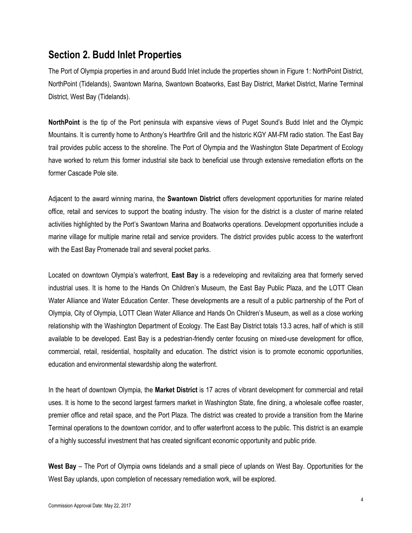## **Section 2. Budd Inlet Properties**

The Port of Olympia properties in and around Budd Inlet include the properties shown in Figure 1: NorthPoint District, NorthPoint (Tidelands), Swantown Marina, Swantown Boatworks, East Bay District, Market District, Marine Terminal District, West Bay (Tidelands).

**NorthPoint** is the tip of the Port peninsula with expansive views of Puget Sound's Budd Inlet and the Olympic Mountains. It is currently home to Anthony's Hearthfire Grill and the historic KGY AM-FM radio station. The East Bay trail provides public access to the shoreline. The Port of Olympia and the Washington State Department of Ecology have worked to return this former industrial site back to beneficial use through extensive remediation efforts on the former Cascade Pole site.

Adjacent to the award winning marina, the **Swantown District** offers development opportunities for marine related office, retail and services to support the boating industry. The vision for the district is a cluster of marine related activities highlighted by the Port's Swantown Marina and Boatworks operations. Development opportunities include a marine village for multiple marine retail and service providers. The district provides public access to the waterfront with the East Bay Promenade trail and several pocket parks.

Located on downtown Olympia's waterfront, **East Bay** is a redeveloping and revitalizing area that formerly served industrial uses. It is home to the Hands On Children's Museum, the East Bay Public Plaza, and the LOTT Clean Water Alliance and Water Education Center. These developments are a result of a public partnership of the Port of Olympia, City of Olympia, LOTT Clean Water Alliance and Hands On Children's Museum, as well as a close working relationship with the Washington Department of Ecology. The East Bay District totals 13.3 acres, half of which is still available to be developed. East Bay is a pedestrian-friendly center focusing on mixed-use development for office, commercial, retail, residential, hospitality and education. The district vision is to promote economic opportunities, education and environmental stewardship along the waterfront.

In the heart of downtown Olympia, the **Market District** is 17 acres of vibrant development for commercial and retail uses. It is home to the second largest farmers market in Washington State, fine dining, a wholesale coffee roaster, premier office and retail space, and the Port Plaza. The district was created to provide a transition from the Marine Terminal operations to the downtown corridor, and to offer waterfront access to the public. This district is an example of a highly successful investment that has created significant economic opportunity and public pride.

**West Bay** – The Port of Olympia owns tidelands and a small piece of uplands on West Bay. Opportunities for the West Bay uplands, upon completion of necessary remediation work, will be explored.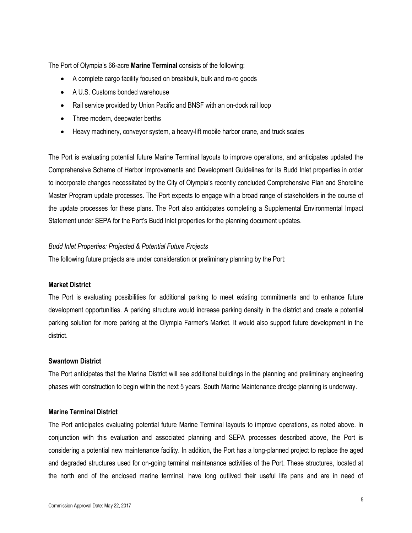The Port of Olympia's 66-acre **Marine Terminal** consists of the following:

- A complete cargo facility focused on breakbulk, bulk and ro-ro goods
- A U.S. Customs bonded warehouse
- Rail service provided by Union Pacific and BNSF with an on-dock rail loop
- Three modern, deepwater berths
- Heavy machinery, conveyor system, a heavy-lift mobile harbor crane, and truck scales

The Port is evaluating potential future Marine Terminal layouts to improve operations, and anticipates updated the Comprehensive Scheme of Harbor Improvements and Development Guidelines for its Budd Inlet properties in order to incorporate changes necessitated by the City of Olympia's recently concluded Comprehensive Plan and Shoreline Master Program update processes. The Port expects to engage with a broad range of stakeholders in the course of the update processes for these plans. The Port also anticipates completing a Supplemental Environmental Impact Statement under SEPA for the Port's Budd Inlet properties for the planning document updates.

### *Budd Inlet Properties: Projected & Potential Future Projects*

The following future projects are under consideration or preliminary planning by the Port:

#### **Market District**

The Port is evaluating possibilities for additional parking to meet existing commitments and to enhance future development opportunities. A parking structure would increase parking density in the district and create a potential parking solution for more parking at the Olympia Farmer's Market. It would also support future development in the district.

#### **Swantown District**

The Port anticipates that the Marina District will see additional buildings in the planning and preliminary engineering phases with construction to begin within the next 5 years. South Marine Maintenance dredge planning is underway.

#### **Marine Terminal District**

The Port anticipates evaluating potential future Marine Terminal layouts to improve operations, as noted above. In conjunction with this evaluation and associated planning and SEPA processes described above, the Port is considering a potential new maintenance facility. In addition, the Port has a long-planned project to replace the aged and degraded structures used for on-going terminal maintenance activities of the Port. These structures, located at the north end of the enclosed marine terminal, have long outlived their useful life pans and are in need of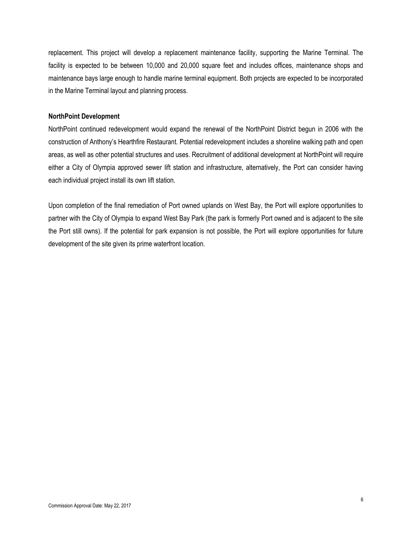replacement. This project will develop a replacement maintenance facility, supporting the Marine Terminal. The facility is expected to be between 10,000 and 20,000 square feet and includes offices, maintenance shops and maintenance bays large enough to handle marine terminal equipment. Both projects are expected to be incorporated in the Marine Terminal layout and planning process.

### **NorthPoint Development**

NorthPoint continued redevelopment would expand the renewal of the NorthPoint District begun in 2006 with the construction of Anthony's Hearthfire Restaurant. Potential redevelopment includes a shoreline walking path and open areas, as well as other potential structures and uses. Recruitment of additional development at NorthPoint will require either a City of Olympia approved sewer lift station and infrastructure, alternatively, the Port can consider having each individual project install its own lift station.

Upon completion of the final remediation of Port owned uplands on West Bay, the Port will explore opportunities to partner with the City of Olympia to expand West Bay Park (the park is formerly Port owned and is adjacent to the site the Port still owns). If the potential for park expansion is not possible, the Port will explore opportunities for future development of the site given its prime waterfront location.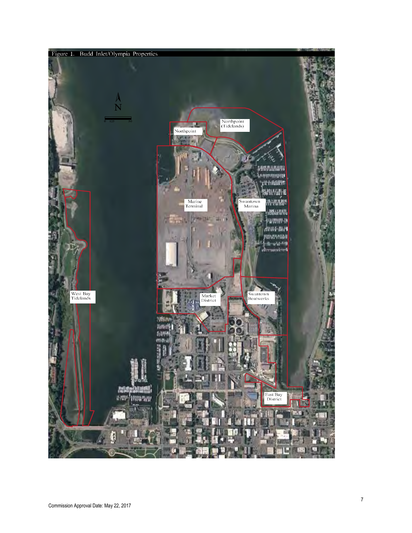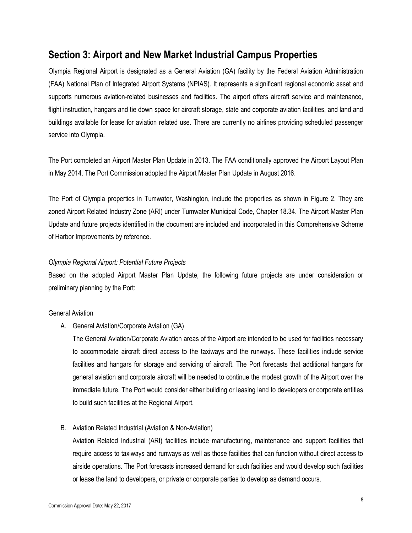# **Section 3: Airport and New Market Industrial Campus Properties**

Olympia Regional Airport is designated as a General Aviation (GA) facility by the Federal Aviation Administration (FAA) National Plan of Integrated Airport Systems (NPIAS). It represents a significant regional economic asset and supports numerous aviation-related businesses and facilities. The airport offers aircraft service and maintenance, flight instruction, hangars and tie down space for aircraft storage, state and corporate aviation facilities, and land and buildings available for lease for aviation related use. There are currently no airlines providing scheduled passenger service into Olympia.

The Port completed an Airport Master Plan Update in 2013. The FAA conditionally approved the Airport Layout Plan in May 2014. The Port Commission adopted the Airport Master Plan Update in August 2016.

The Port of Olympia properties in Tumwater, Washington, include the properties as shown in Figure 2. They are zoned Airport Related Industry Zone (ARI) under Tumwater Municipal Code, Chapter 18.34. The Airport Master Plan Update and future projects identified in the document are included and incorporated in this Comprehensive Scheme of Harbor Improvements by reference.

### *Olympia Regional Airport: Potential Future Projects*

Based on the adopted Airport Master Plan Update, the following future projects are under consideration or preliminary planning by the Port:

### General Aviation

A. General Aviation/Corporate Aviation (GA)

The General Aviation/Corporate Aviation areas of the Airport are intended to be used for facilities necessary to accommodate aircraft direct access to the taxiways and the runways. These facilities include service facilities and hangars for storage and servicing of aircraft. The Port forecasts that additional hangars for general aviation and corporate aircraft will be needed to continue the modest growth of the Airport over the immediate future. The Port would consider either building or leasing land to developers or corporate entities to build such facilities at the Regional Airport.

B. Aviation Related Industrial (Aviation & Non-Aviation)

Aviation Related Industrial (ARI) facilities include manufacturing, maintenance and support facilities that require access to taxiways and runways as well as those facilities that can function without direct access to airside operations. The Port forecasts increased demand for such facilities and would develop such facilities or lease the land to developers, or private or corporate parties to develop as demand occurs.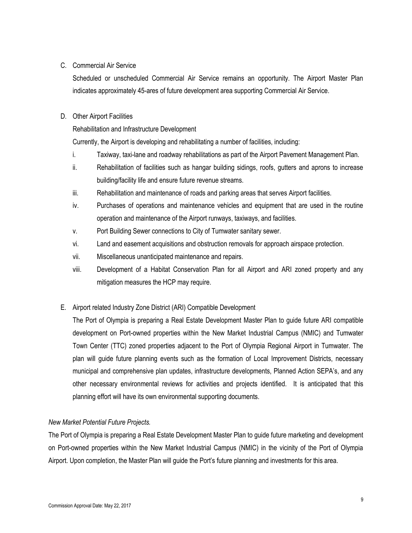### C. Commercial Air Service

Scheduled or unscheduled Commercial Air Service remains an opportunity. The Airport Master Plan indicates approximately 45-ares of future development area supporting Commercial Air Service.

### D. Other Airport Facilities

Rehabilitation and Infrastructure Development

Currently, the Airport is developing and rehabilitating a number of facilities, including:

- i. Taxiway, taxi-lane and roadway rehabilitations as part of the Airport Pavement Management Plan.
- ii. Rehabilitation of facilities such as hangar building sidings, roofs, gutters and aprons to increase building/facility life and ensure future revenue streams.
- iii. Rehabilitation and maintenance of roads and parking areas that serves Airport facilities.
- iv. Purchases of operations and maintenance vehicles and equipment that are used in the routine operation and maintenance of the Airport runways, taxiways, and facilities.
- v. Port Building Sewer connections to City of Tumwater sanitary sewer.
- vi. Land and easement acquisitions and obstruction removals for approach airspace protection.
- vii. Miscellaneous unanticipated maintenance and repairs.
- viii. Development of a Habitat Conservation Plan for all Airport and ARI zoned property and any mitigation measures the HCP may require.
- E. Airport related Industry Zone District (ARI) Compatible Development

The Port of Olympia is preparing a Real Estate Development Master Plan to guide future ARI compatible development on Port-owned properties within the New Market Industrial Campus (NMIC) and Tumwater Town Center (TTC) zoned properties adjacent to the Port of Olympia Regional Airport in Tumwater. The plan will guide future planning events such as the formation of Local Improvement Districts, necessary municipal and comprehensive plan updates, infrastructure developments, Planned Action SEPA's, and any other necessary environmental reviews for activities and projects identified. It is anticipated that this planning effort will have its own environmental supporting documents.

### *New Market Potential Future Projects.*

The Port of Olympia is preparing a Real Estate Development Master Plan to guide future marketing and development on Port-owned properties within the New Market Industrial Campus (NMIC) in the vicinity of the Port of Olympia Airport. Upon completion, the Master Plan will guide the Port's future planning and investments for this area.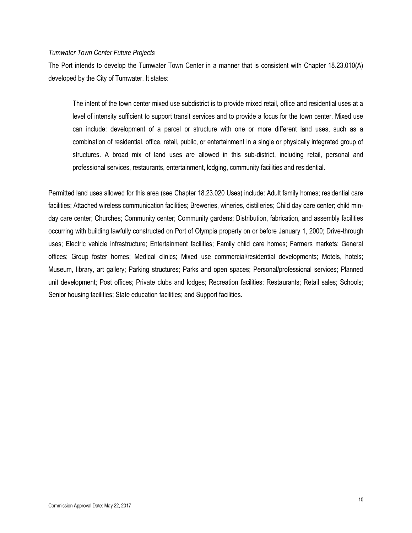#### *Tumwater Town Center Future Projects*

The Port intends to develop the Tumwater Town Center in a manner that is consistent with Chapter 18.23.010(A) developed by the City of Tumwater. It states:

The intent of the town center mixed use subdistrict is to provide mixed retail, office and residential uses at a level of intensity sufficient to support transit services and to provide a focus for the town center. Mixed use can include: development of a parcel or structure with one or more different land uses, such as a combination of residential, office, retail, public, or entertainment in a single or physically integrated group of structures. A broad mix of land uses are allowed in this sub-district, including retail, personal and professional services, restaurants, entertainment, lodging, community facilities and residential.

Permitted land uses allowed for this area (see Chapter 18.23.020 Uses) include: Adult family homes; residential care facilities; Attached wireless communication facilities; Breweries, wineries, distilleries; Child day care center; child minday care center; Churches; Community center; Community gardens; Distribution, fabrication, and assembly facilities occurring with building lawfully constructed on Port of Olympia property on or before January 1, 2000; Drive-through uses; Electric vehicle infrastructure; Entertainment facilities; Family child care homes; Farmers markets; General offices; Group foster homes; Medical clinics; Mixed use commercial/residential developments; Motels, hotels; Museum, library, art gallery; Parking structures; Parks and open spaces; Personal/professional services; Planned unit development; Post offices; Private clubs and lodges; Recreation facilities; Restaurants; Retail sales; Schools; Senior housing facilities; State education facilities; and Support facilities.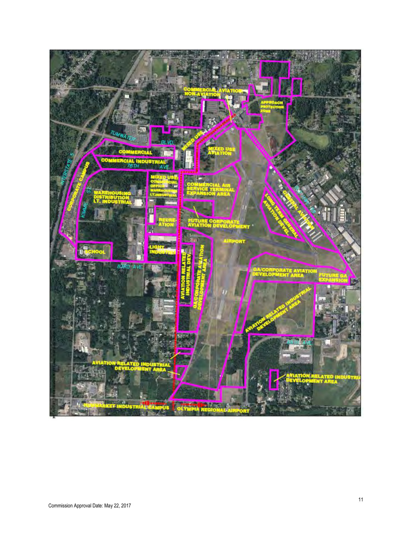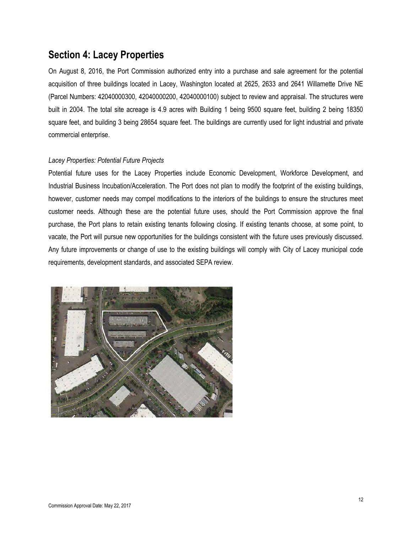# **Section 4: Lacey Properties**

On August 8, 2016, the Port Commission authorized entry into a purchase and sale agreement for the potential acquisition of three buildings located in Lacey, Washington located at 2625, 2633 and 2641 Willamette Drive NE (Parcel Numbers: 42040000300, 42040000200, 42040000100) subject to review and appraisal. The structures were built in 2004. The total site acreage is 4.9 acres with Building 1 being 9500 square feet, building 2 being 18350 square feet, and building 3 being 28654 square feet. The buildings are currently used for light industrial and private commercial enterprise.

### *Lacey Properties: Potential Future Projects*

Potential future uses for the Lacey Properties include Economic Development, Workforce Development, and Industrial Business Incubation/Acceleration. The Port does not plan to modify the footprint of the existing buildings, however, customer needs may compel modifications to the interiors of the buildings to ensure the structures meet customer needs. Although these are the potential future uses, should the Port Commission approve the final purchase, the Port plans to retain existing tenants following closing. If existing tenants choose, at some point, to vacate, the Port will pursue new opportunities for the buildings consistent with the future uses previously discussed. Any future improvements or change of use to the existing buildings will comply with City of Lacey municipal code requirements, development standards, and associated SEPA review.